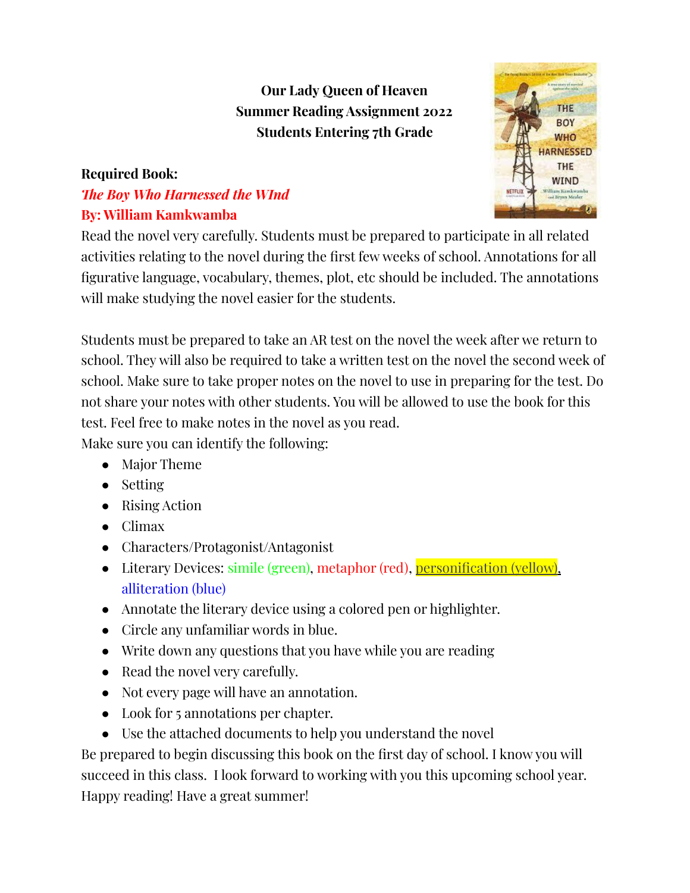## **Our Lady Queen of Heaven Summer Reading Assignment 2022 Students Entering 7th Grade**

## **Required Book:**

## *The Boy Who Harnessed the WInd* **By: William Kamkwamba**



Read the novel very carefully. Students must be prepared to participate in all related activities relating to the novel during the first few weeks of school. Annotations for all figurative language, vocabulary, themes, plot, etc should be included. The annotations will make studying the novel easier for the students.

Students must be prepared to take an AR test on the novel the week after we return to school. They will also be required to take a written test on the novel the second week of school. Make sure to take proper notes on the novel to use in preparing for the test. Do not share your notes with other students. You will be allowed to use the book for this test. Feel free to make notes in the novel as you read.

Make sure you can identify the following:

- Major Theme
- Setting
- Rising Action
- Climax
- Characters/Protagonist/Antagonist
- Literary Devices: simile (green), metaphor (red), personification (yellow), alliteration (blue)
- Annotate the literary device using a colored pen or highlighter.
- Circle any unfamiliar words in blue.
- Write down any questions that you have while you are reading
- Read the novel very carefully.
- Not every page will have an annotation.
- Look for 5 annotations per chapter.
- Use the attached documents to help you understand the novel

Be prepared to begin discussing this book on the first day of school. I know you will succeed in this class. I look forward to working with you this upcoming school year. Happy reading! Have a great summer!